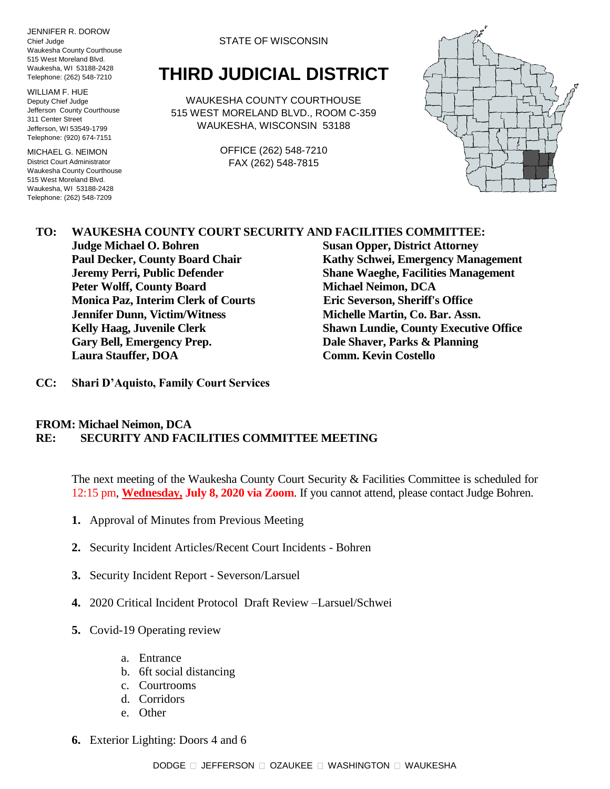JENNIFER R. DOROW Chief Judge Waukesha County Courthouse 515 West Moreland Blvd. Waukesha, WI 53188-2428 Telephone: (262) 548-7210

WILLIAM F. HUE Deputy Chief Judge Jefferson County Courthouse 311 Center Street Jefferson, WI 53549-1799 Telephone: (920) 674-7151

MICHAEL G. NEIMON District Court Administrator Waukesha County Courthouse 515 West Moreland Blvd. Waukesha, WI 53188-2428 Telephone: (262) 548-7209

STATE OF WISCONSIN

## **THIRD JUDICIAL DISTRICT**

WAUKESHA COUNTY COURTHOUSE 515 WEST MORELAND BLVD., ROOM C-359 WAUKESHA, WISCONSIN 53188

> OFFICE (262) 548-7210 FAX (262) 548-7815



## **TO: WAUKESHA COUNTY COURT SECURITY AND FACILITIES COMMITTEE:**

**Judge Michael O. Bohren Susan Opper, District Attorney Peter Wolff, County Board Michael Neimon, DCA Monica Paz, Interim Clerk of Courts Eric Severson, Sheriff's Office Jennifer Dunn, Victim/Witness Michelle Martin, Co. Bar. Assn. Gary Bell, Emergency Prep. Dale Shaver, Parks & Planning Laura Stauffer, DOA Comm. Kevin Costello**

**Paul Decker, County Board Chair Kathy Schwei, Emergency Management Jeremy Perri, Public Defender Shane Waeghe, Facilities Management Kelly Haag, Juvenile Clerk Shawn Lundie, County Executive Office**

**CC: Shari D'Aquisto, Family Court Services**

## **FROM: Michael Neimon, DCA RE: SECURITY AND FACILITIES COMMITTEE MEETING**

The next meeting of the Waukesha County Court Security & Facilities Committee is scheduled for 12:15 pm, **Wednesday, July 8, 2020 via Zoom**. If you cannot attend, please contact Judge Bohren.

- **1.** Approval of Minutes from Previous Meeting
- **2.** Security Incident Articles/Recent Court Incidents Bohren
- **3.** Security Incident Report Severson/Larsuel
- **4.** 2020 Critical Incident Protocol Draft Review –Larsuel/Schwei
- **5.** Covid-19 Operating review
	- a. Entrance
	- b. 6ft social distancing
	- c. Courtrooms
	- d. Corridors
	- e. Other
- **6.** Exterior Lighting: Doors 4 and 6